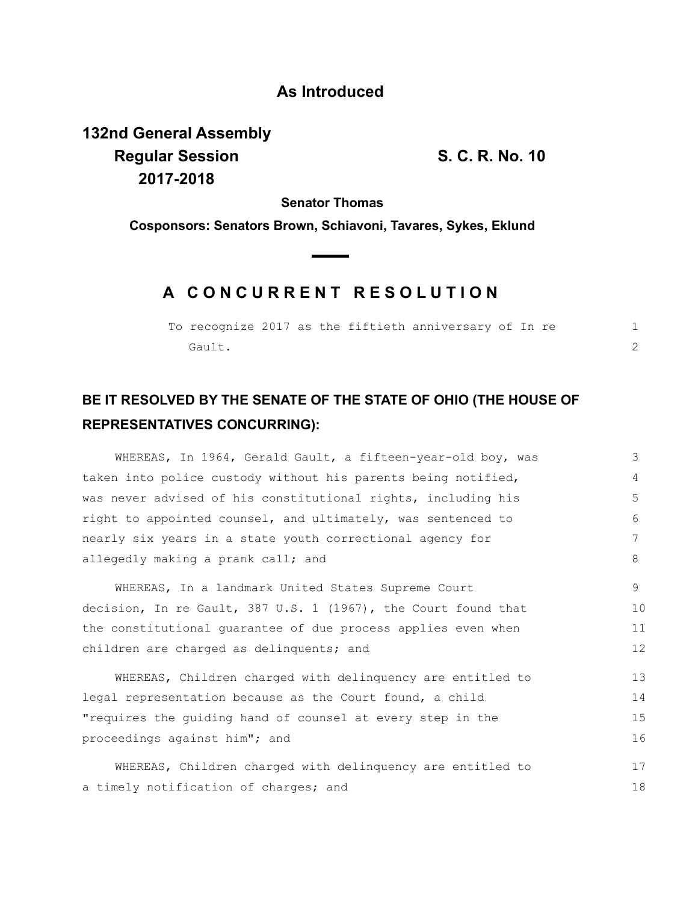## **As Introduced**

**132nd General Assembly Regular Session S. C. R. No. 10 2017-2018**

**Senator Thomas**

**Cosponsors: Senators Brown, Schiavoni, Tavares, Sykes, Eklund**

## **A C O N C U R R E N T R E S O L U T I O N**

|        |  |  | To recognize 2017 as the fiftieth anniversary of In re |  |  |  |
|--------|--|--|--------------------------------------------------------|--|--|--|
| Gault. |  |  |                                                        |  |  |  |

## **BE IT RESOLVED BY THE SENATE OF THE STATE OF OHIO (THE HOUSE OF REPRESENTATIVES CONCURRING):**

WHEREAS, In 1964, Gerald Gault, a fifteen-year-old boy, was taken into police custody without his parents being notified, was never advised of his constitutional rights, including his right to appointed counsel, and ultimately, was sentenced to nearly six years in a state youth correctional agency for allegedly making a prank call; and WHEREAS, In a landmark United States Supreme Court decision, In re Gault, 387 U.S. 1 (1967), the Court found that the constitutional guarantee of due process applies even when children are charged as delinquents; and WHEREAS, Children charged with delinquency are entitled to legal representation because as the Court found, a child "requires the guiding hand of counsel at every step in the proceedings against him"; and WHEREAS, Children charged with delinquency are entitled to a timely notification of charges; and 3 4 5 6 7 8 9 10 11 12 13 14 15 16 17 18